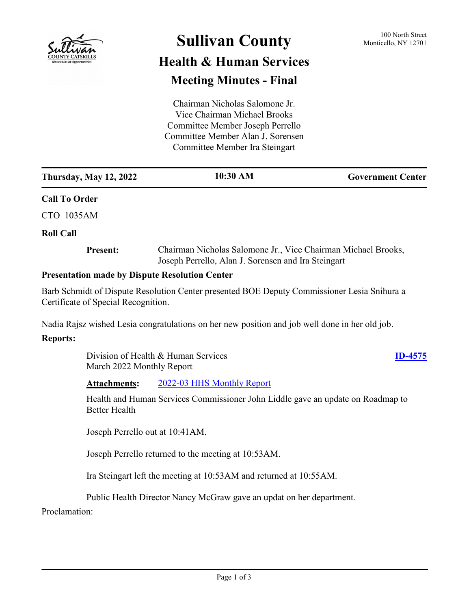

# **Sullivan County** 100 North Street 100 North Street

## **Health & Human Services Meeting Minutes - Final**

| Chairman Nicholas Salomone Jr.    |
|-----------------------------------|
| Vice Chairman Michael Brooks      |
| Committee Member Joseph Perrello  |
| Committee Member Alan J. Sorensen |
| Committee Member Ira Steingart    |

| <b>Thursday, May 12, 2022</b> | 10:30 AM | <b>Government Center</b> |
|-------------------------------|----------|--------------------------|
| <b>Call To Order</b>          |          |                          |

CTO 1035AM

### **Roll Call**

**Present:**

Chairman Nicholas Salomone Jr., Vice Chairman Michael Brooks, Joseph Perrello, Alan J. Sorensen and Ira Steingart

### **Presentation made by Dispute Resolution Center**

Barb Schmidt of Dispute Resolution Center presented BOE Deputy Commissioner Lesia Snihura a Certificate of Special Recognition.

Nadia Rajsz wished Lesia congratulations on her new position and job well done in her old job.

### **Reports:**

Division of Health & Human Services March 2022 Monthly Report

### **[ID-4575](http://sullivancountyny.legistar.com/gateway.aspx?m=l&id=/matter.aspx?key=1601)**

**Attachments:** [2022-03 HHS Monthly Report](http://sullivancountyny.legistar.com/gateway.aspx?M=F&ID=3f9474c7-1aee-4c89-8a76-04c27bed4894.docx)

Health and Human Services Commissioner John Liddle gave an update on Roadmap to Better Health

Joseph Perrello out at 10:41AM.

Joseph Perrello returned to the meeting at 10:53AM.

Ira Steingart left the meeting at 10:53AM and returned at 10:55AM.

Public Health Director Nancy McGraw gave an updat on her department.

Proclamation: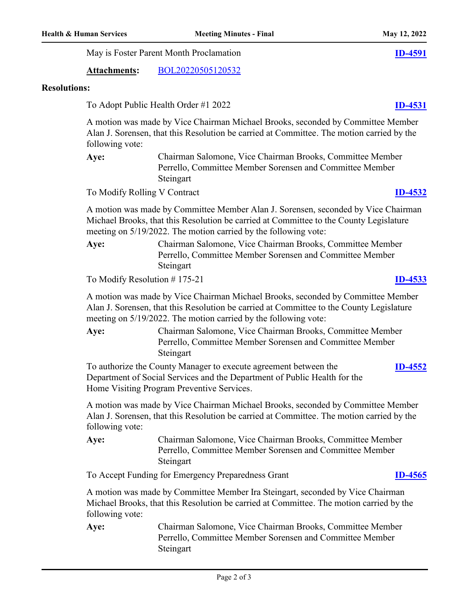May is Foster Parent Month Proclamation **[ID-4591](http://sullivancountyny.legistar.com/gateway.aspx?m=l&id=/matter.aspx?key=1617)**

**Attachments:** [BOL20220505120532](http://sullivancountyny.legistar.com/gateway.aspx?M=F&ID=789a6945-e852-44c8-b521-0764d6148636.pdf)

### **Resolutions:**

To Adopt Public Health Order #1 2022 **[ID-4531](http://sullivancountyny.legistar.com/gateway.aspx?m=l&id=/matter.aspx?key=1557)**

A motion was made by Vice Chairman Michael Brooks, seconded by Committee Member Alan J. Sorensen, that this Resolution be carried at Committee. The motion carried by the following vote:

Chairman Salomone, Vice Chairman Brooks, Committee Member Perrello, Committee Member Sorensen and Committee Member **Steingart Aye:**

To Modify Rolling V Contract **[ID-4532](http://sullivancountyny.legistar.com/gateway.aspx?m=l&id=/matter.aspx?key=1558)**

A motion was made by Committee Member Alan J. Sorensen, seconded by Vice Chairman Michael Brooks, that this Resolution be carried at Committee to the County Legislature meeting on 5/19/2022. The motion carried by the following vote:

Chairman Salomone, Vice Chairman Brooks, Committee Member Perrello, Committee Member Sorensen and Committee Member Steingart **Aye:**

To Modify Resolution # 175-21 **[ID-4533](http://sullivancountyny.legistar.com/gateway.aspx?m=l&id=/matter.aspx?key=1559)**

A motion was made by Vice Chairman Michael Brooks, seconded by Committee Member Alan J. Sorensen, that this Resolution be carried at Committee to the County Legislature meeting on 5/19/2022. The motion carried by the following vote:

Chairman Salomone, Vice Chairman Brooks, Committee Member Perrello, Committee Member Sorensen and Committee Member **Steingart Aye:**

To authorize the County Manager to execute agreement between the Department of Social Services and the Department of Public Health for the Home Visiting Program Preventive Services. **[ID-4552](http://sullivancountyny.legistar.com/gateway.aspx?m=l&id=/matter.aspx?key=1578)**

A motion was made by Vice Chairman Michael Brooks, seconded by Committee Member Alan J. Sorensen, that this Resolution be carried at Committee. The motion carried by the following vote:

Chairman Salomone, Vice Chairman Brooks, Committee Member Perrello, Committee Member Sorensen and Committee Member Steingart **Aye:**

To Accept Funding for Emergency Preparedness Grant **[ID-4565](http://sullivancountyny.legistar.com/gateway.aspx?m=l&id=/matter.aspx?key=1591)**

A motion was made by Committee Member Ira Steingart, seconded by Vice Chairman Michael Brooks, that this Resolution be carried at Committee. The motion carried by the following vote:

Chairman Salomone, Vice Chairman Brooks, Committee Member Perrello, Committee Member Sorensen and Committee Member Steingart **Aye:**